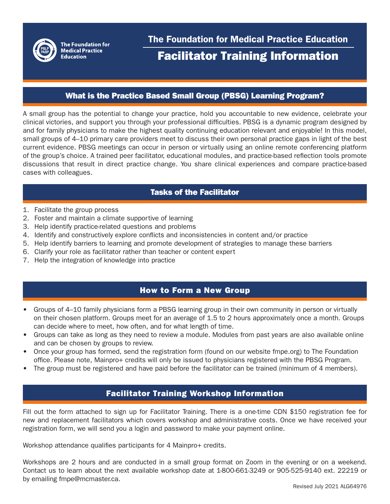

#### What is the Practice Based Small Group (PBSG) Learning Program?

A small group has the potential to change your practice, hold you accountable to new evidence, celebrate your clinical victories, and support you through your professional difficulties. PBSG is a dynamic program designed by and for family physicians to make the highest quality continuing education relevant and enjoyable! In this model, small groups of 4–10 primary care providers meet to discuss their own personal practice gaps in light of the best current evidence. PBSG meetings can occur in person or virtually using an online remote conferencing platform of the group's choice. A trained peer facilitator, educational modules, and practice-based reflection tools promote discussions that result in direct practice change. You share clinical experiences and compare practice-based cases with colleagues.

# Tasks of the Facilitator

- 1. Facilitate the group process
- 2. Foster and maintain a climate supportive of learning
- 3. Help identify practice-related questions and problems
- 4. Identify and constructively explore conflicts and inconsistencies in content and/or practice
- 5. Help identify barriers to learning and promote development of strategies to manage these barriers
- 6. Clarify your role as facilitator rather than teacher or content expert
- 7. Help the integration of knowledge into practice

# How to Form a New Group

- Groups of 4–10 family physicians form a PBSG learning group in their own community in person or virtually on their chosen platform. Groups meet for an average of 1.5 to 2 hours approximately once a month. Groups can decide where to meet, how often, and for what length of time.
- Groups can take as long as they need to review a module. Modules from past years are also available online and can be chosen by groups to review.
- Once your group has formed, send the registration form (found on our website fmpe.org) to The Foundation office. Please note, Mainpro+ credits will only be issued to physicians registered with the PBSG Program.
- The group must be registered and have paid before the facilitator can be trained (minimum of 4 members).

# Facilitator Training Workshop Information

Fill out the form attached to sign up for Facilitator Training. There is a one-time CDN \$150 registration fee for new and replacement facilitators which covers workshop and administrative costs. Once we have received your registration form, we will send you a login and password to make your payment online.

Workshop attendance qualifies participants for 4 Mainpro+ credits.

Workshops are 2 hours and are conducted in a small group format on Zoom in the evening or on a weekend. Contact us to learn about the next available workshop date at 1-800-661-3249 or 905-525-9140 ext. 22219 or by emailing fmpe@mcmaster.ca.